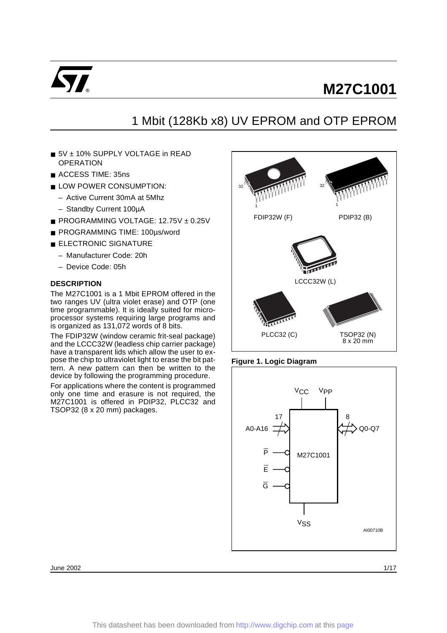

# 1 Mbit (128Kb x8) UV EPROM and OTP EPROM

- 5V ± 10% SUPPLY VOLTAGE in READ **OPERATION**
- ACCESS TIME: 35ns
- LOW POWER CONSUMPTION:
	- Active Current 30mA at 5Mhz
	- Standby Current 100µA
- PROGRAMMING VOLTAGE: 12.75V ± 0.25V
- PROGRAMMING TIME: 100µs/word
- ELECTRONIC SIGNATURE
	- Manufacturer Code: 20h
	- Device Code: 05h

#### **DESCRIPTION**

The M27C1001 is a 1 Mbit EPROM offered in the two ranges UV (ultra violet erase) and OTP (one time programmable). It is ideally suited for microprocessor systems requiring large programs and is organized as 131,072 words of 8 bits.

The FDIP32W (window ceramic frit-seal package) and the LCCC32W (leadless chip carrier package) have a transparent lids which allow the user to expose the chip to ultraviolet light to erase the bit pattern. A new pattern can then be written to the device by following the programming procedure.

For applications where the content is programmed only one time and erasure is not required, the M27C1001 is offered in PDIP32, PLCC32 and TSOP32 (8 x 20 mm) packages.



#### **Figure 1. Logic Diagram**



June 2002 1/17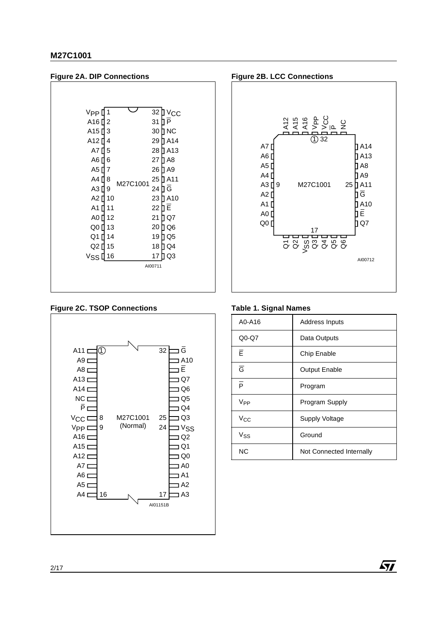

# **Figure 2C. TSOP Connections**







### **Table 1. Signal Names**

| A0-A16          | <b>Address Inputs</b>    |
|-----------------|--------------------------|
| $Q0-Q7$         | Data Outputs             |
| Ē               | Chip Enable              |
| $\overline{G}$  | <b>Output Enable</b>     |
| $\overline{P}$  | Program                  |
| V <sub>PP</sub> | Program Supply           |
| Vcc             | <b>Supply Voltage</b>    |
| Vss             | Ground                   |
| <b>NC</b>       | Not Connected Internally |

 $\sqrt{M}$ 

2/17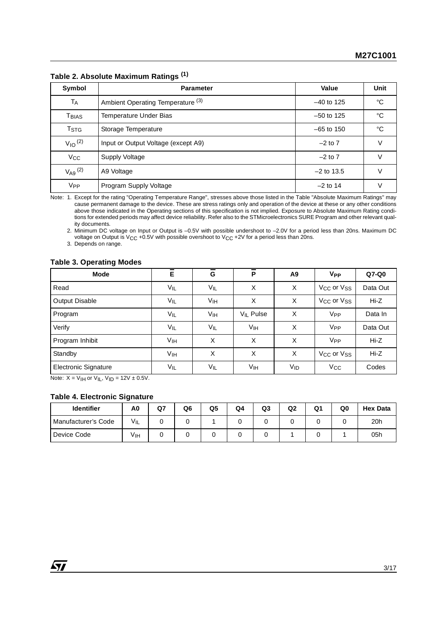| Symbol                  | <b>Parameter</b>                    | Value        | <b>Unit</b> |
|-------------------------|-------------------------------------|--------------|-------------|
| <b>TA</b>               | Ambient Operating Temperature (3)   | $-40$ to 125 | °C          |
| Tbias                   | Temperature Under Bias              | $-50$ to 125 | °C          |
| T <sub>STG</sub>        | Storage Temperature                 | $-65$ to 150 | °C          |
| $V_{10}$ <sup>(2)</sup> | Input or Output Voltage (except A9) | $-2$ to $7$  | v           |
| Vcc                     | Supply Voltage                      | $-2$ to 7    | V           |
| $V_{A9}$ $(2)$          | A9 Voltage                          | $-2$ to 13.5 | v           |
| <b>V<sub>PP</sub></b>   | Program Supply Voltage              | $-2$ to 14   | V           |

# **Table 2. Absolute Maximum Ratings (1)**

Note: 1. Except for the rating "Operating Temperature Range", stresses above those listed in the Table "Absolute Maximum Ratings" may cause permanent damage to the device. These are stress ratings only and operation of the device at these or any other conditions above those indicated in the Operating sections of this specification is not implied. Exposure to Absolute Maximum Rating conditions for extended periods may affect device reliability. Refer also to the STMicroelectronics SURE Program and other relevant quality documents.

2. Minimum DC voltage on Input or Output is –0.5V with possible undershoot to –2.0V for a period less than 20ns. Maximum DC voltage on Output is V<sub>CC</sub> +0.5V with possible overshoot to V<sub>CC</sub> +2V for a period less than 20ns.

3. Depends on range.

#### **Table 3. Operating Modes**

| Mode                        | Ē               | I<br>G          | $\overline{\mathsf{P}}$ | A <sub>9</sub>  | <b>V<sub>PP</sub></b>              | Q7-Q0    |
|-----------------------------|-----------------|-----------------|-------------------------|-----------------|------------------------------------|----------|
| Read                        | $V_{IL}$        | $V_{IL}$        | X                       | X               | V <sub>CC</sub> or V <sub>SS</sub> | Data Out |
| <b>Output Disable</b>       | $V_{IL}$        | V <sub>IH</sub> | X                       | X               | V <sub>CC</sub> or V <sub>SS</sub> | $Hi-Z$   |
| Program                     | $V_{IL}$        | V <sub>IH</sub> | V <sub>IL</sub> Pulse   | X               | V <sub>PP</sub>                    | Data In  |
| Verify                      | $V_{IL}$        | $V_{IL}$        | V <sub>IH</sub>         | X               | V <sub>PP</sub>                    | Data Out |
| Program Inhibit             | V <sub>IH</sub> | X               | X                       | X               | V <sub>PP</sub>                    | $Hi-Z$   |
| Standby                     | V <sub>IH</sub> | X               | X                       | X               | V <sub>CC</sub> or V <sub>SS</sub> | $Hi-Z$   |
| <b>Electronic Signature</b> | $V_{IL}$        | $V_{IL}$        | V <sub>IH</sub>         | V <sub>ID</sub> | $V_{\rm CC}$                       | Codes    |

Note:  $X = V_H$  or  $V_H$ ,  $V_H = 12V \pm 0.5V$ .

#### **Table 4. Electronic Signature**

| <b>Identifier</b>   | A0       | Q7 | Q6 | Q5 | Q <sub>4</sub> | Q <sub>3</sub> | Q2 | Q1 | Q0 | <b>Hex Data</b> |
|---------------------|----------|----|----|----|----------------|----------------|----|----|----|-----------------|
| Manufacturer's Code | $V_{IL}$ |    |    |    |                |                |    |    |    | 20h             |
| Device Code         | ۷ıн      |    |    |    |                |                |    |    |    | 05h             |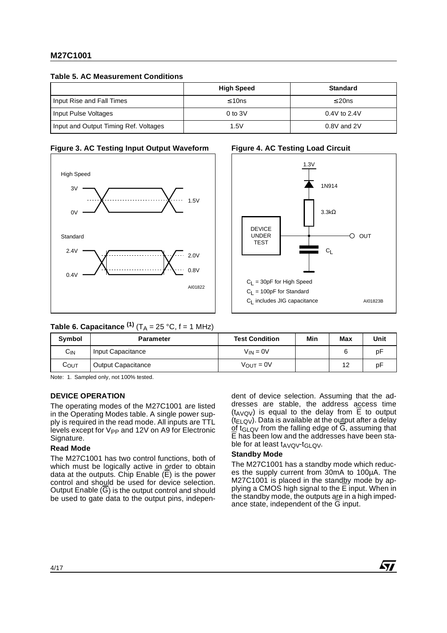#### **Table 5. AC Measurement Conditions**

|                                       | <b>High Speed</b> | <b>Standard</b> |
|---------------------------------------|-------------------|-----------------|
| Input Rise and Fall Times             | $\leq 10$ ns      | $\leq$ 20ns     |
| Input Pulse Voltages                  | $0$ to $3V$       | $0.4V$ to 2.4V  |
| Input and Output Timing Ref. Voltages | 1.5V              | 0.8V and 2V     |

# AI01822 3V High Speed  $\bigcap$ 1.5V 2.4V Standard 0.4V 2.0V 0.8V

### **Figure 3. AC Testing Input Output Waveform**

# **Figure 4. AC Testing Load Circuit**



# **Table 6. Capacitance**  $^{(1)}$  **(T<sub>A</sub> = 25 °C, f = 1 MHz)**

| Symbol          | <b>Parameter</b>          | <b>Test Condition</b> | Min | Max | Unit |
|-----------------|---------------------------|-----------------------|-----|-----|------|
| С <sub>IN</sub> | Input Capacitance         | $V_{IN} = 0V$         |     | 6   | p۲   |
| Соит            | <b>Output Capacitance</b> | $V_{\text{OUT}} = 0V$ |     | 12  | p۲   |

Note: 1. Sampled only, not 100% tested.

#### **DEVICE OPERATION**

The operating modes of the M27C1001 are listed in the Operating Modes table. A single power supply is required in the read mode. All inputs are TTL levels except for V<sub>PP</sub> and 12V on A9 for Electronic Signature.

#### **Read Mode**

The M27C1001 has two control functions, both of which must be logically active in order to obtain data at the outputs. Chip Enable (E) is the power control and should be used for device selection. Output Enable  $(\overline{G})$  is the output control and should be used to gate data to the output pins, independent of device selection. Assuming that the addresses are stable, the address access time  $(t_{AVQV})$  is equal to the delay from  $\overline{E}$  to output  $(t_{ELQV})$ . Data is available at the output after a delay of t<sub>GLOV</sub> from the falling edge of  $G$ , assuming that E has been low and the addresses have been stable for at least  $t_{AVQV}$ - $t_{GLQV}$ .

#### **Standby Mode**

The M27C1001 has a standby mode which reduces the supply current from 30mA to 100µA. The M27C1001 is placed in the standby mode by applying a CMOS high signal to the  $\overline{E}$  input. When in the standby mode, the outputs are in a high impedance state, independent of the G input.

57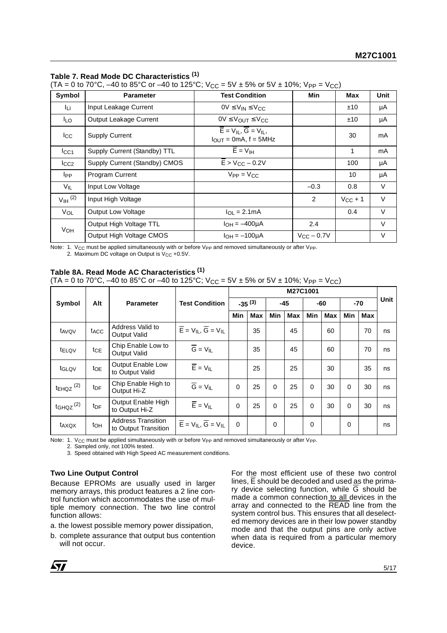#### **Table 7. Read Mode DC Characteristics (1)**

 $(TA = 0 \text{ to } 70^{\circ}\text{C}, -40 \text{ to } 85^{\circ}\text{C} \text{ or } -40 \text{ to } 125^{\circ}\text{C}; V_{CC} = 5V \pm 5\% \text{ or } 5V \pm 10\%; V_{PP} = V_{CC}$ 

| Symbol                | <b>Parameter</b>              | <b>Test Condition</b>                                         | Min                   | Max          | Unit   |
|-----------------------|-------------------------------|---------------------------------------------------------------|-----------------------|--------------|--------|
| Iц.                   | Input Leakage Current         | $0V \leq V_{IN} \leq V_{CC}$                                  |                       | ±10          | μA     |
| I <sub>LO</sub>       | Output Leakage Current        | $0V \leq V_{OUT} \leq V_{CC}$                                 |                       | ±10          | μA     |
| $_{\rm{lcc}}$         | <b>Supply Current</b>         | $E = V_{II}$ , $G = V_{II}$ ,<br>$I_{OUT} = 0mA$ , $f = 5MHz$ |                       | 30           | mA     |
| $I_{\rm CC1}$         | Supply Current (Standby) TTL  | $\overline{E}$ = $V_{IH}$                                     |                       | 1            | mA     |
| ICC2                  | Supply Current (Standby) CMOS | $\overline{E}$ > V <sub>CC</sub> – 0.2V                       |                       | 100          | μA     |
| <b>I</b> pp           | Program Current               | $V_{PP} = V_{CC}$                                             |                       | 10           | μA     |
| $V_{IL}$              | Input Low Voltage             |                                                               | $-0.3$                | 0.8          | V      |
| $V_{\text{IH}}^{(2)}$ | Input High Voltage            |                                                               | 2                     | $V_{CC}$ + 1 | $\vee$ |
| VOL                   | Output Low Voltage            | $I_{\Omega I} = 2.1 \text{mA}$                                |                       | 0.4          | $\vee$ |
| VOH                   | Output High Voltage TTL       | $I_{\text{OH}} = -400 \mu \text{A}$                           | 2.4                   |              | $\vee$ |
|                       | Output High Voltage CMOS      | $I_{OH} = -100 \mu A$                                         | $V_{\rm CC}$ $-$ 0.7V |              | $\vee$ |

Note: 1.  $V_{CC}$  must be applied simultaneously with or before  $V_{PP}$  and removed simultaneously or after  $V_{PP}$ .

2. Maximum DC voltage on Output is  $V_{CC}$  +0.5V.

#### **Table 8A. Read Mode AC Characteristics (1)**

 $(TA = 0$  to 70°C,  $-40$  to 85°C or  $-40$  to 125°C;  $V_{CC} = 5V \pm 5%$  or  $5V \pm 10%$ ;  $V_{PP} = V_{CC}$ )

|                           |                  |                                                   |                                                                                                          | M27C1001 |             |          |       |          |            |          |       |      |
|---------------------------|------------------|---------------------------------------------------|----------------------------------------------------------------------------------------------------------|----------|-------------|----------|-------|----------|------------|----------|-------|------|
| Symbol                    | Alt              | <b>Parameter</b>                                  | <b>Test Condition</b>                                                                                    |          | $-35^{(3)}$ |          | $-45$ |          | $-60$      |          | $-70$ | Unit |
|                           |                  |                                                   |                                                                                                          | Min      | <b>Max</b>  | Min      | Max   | Min      | <b>Max</b> | Min      | Max   |      |
| t <sub>AVQV</sub>         | t <sub>ACC</sub> | Address Valid to<br>Output Valid                  | $\overline{\mathsf{E}}$ = $\mathsf{V}_{\mathsf{IL}}, \overline{\mathsf{G}}$ = $\mathsf{V}_{\mathsf{IL}}$ |          | 35          |          | 45    |          | 60         |          | 70    | ns   |
| t <sub>ELQV</sub>         | tce              | Chip Enable Low to<br>Output Valid                | $\overline{G} = V_{IL}$                                                                                  |          | 35          |          | 45    |          | 60         |          | 70    | ns   |
| tGLQV                     | to <sub>E</sub>  | <b>Output Enable Low</b><br>to Output Valid       | $\overline{E}$ = $V_{IL}$                                                                                |          | 25          |          | 25    |          | 30         |          | 35    | ns   |
| $t_{EHQZ}$ <sup>(2)</sup> | t <sub>DF</sub>  | Chip Enable High to<br>Output Hi-Z                | $\overline{G} = V_{IL}$                                                                                  | $\Omega$ | 25          | $\Omega$ | 25    | 0        | 30         | $\Omega$ | 30    | ns   |
| $t$ GHQZ $^{(2)}$         | t <sub>DF</sub>  | Output Enable High<br>to Output Hi-Z              | $\overline{E}$ = $V_{IL}$                                                                                | $\Omega$ | 25          | $\Omega$ | 25    | $\Omega$ | 30         | $\Omega$ | 30    | ns   |
| t <sub>AXQX</sub>         | $t_{OH}$         | <b>Address Transition</b><br>to Output Transition | $\overline{\mathsf{E}} = \mathsf{V}_{\mathsf{IL}}, \, \overline{\mathsf{G}} = \mathsf{V}_{\mathsf{IL}}$  | $\Omega$ |             | $\Omega$ |       | 0        |            | $\Omega$ |       | ns   |

Note: 1. V<sub>CC</sub> must be applied simultaneously with or before V<sub>PP</sub> and removed simultaneously or after V<sub>PP</sub>.

2. Sampled only, not 100% tested. 3. Speed obtained with High Speed AC measurement conditions.

# **Two Line Output Control**

Because EPROMs are usually used in larger memory arrays, this product features a 2 line control function which accommodates the use of multiple memory connection. The two line control function allows:

a. the lowest possible memory power dissipation,

b. complete assurance that output bus contention will not occur.

For the most efficient use of these two control lines,  $\overline{E}$  should be decoded and used as the primary device selecting function, while  $\overline{G}$  should be made a common connection to all devices in the array and connected to the READ line from the system control bus. This ensures that all deselected memory devices are in their low power standby mode and that the output pins are only active when data is required from a particular memory device.

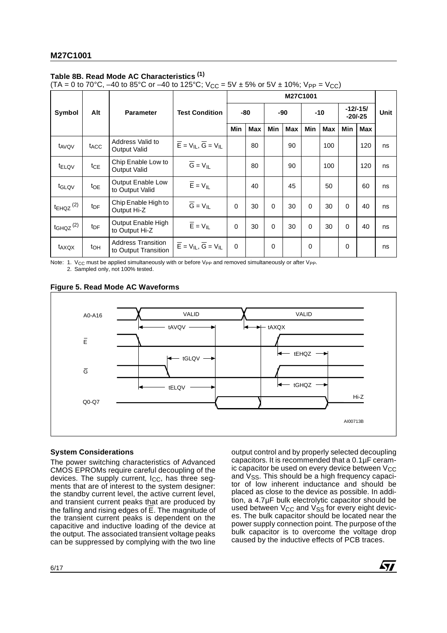# **Table 8B. Read Mode AC Characteristics (1)**

(TA = 0 to 70°C, –40 to 85°C or –40 to 125°C;  $V_{CC}$  = 5V ± 5% or 5V ± 10%;  $V_{PP}$  =  $V_{CC}$ )

|                           |                  | <b>Parameter</b>                                  |                                                       | M27C1001    |     |             |            |     |            |                         |            |      |
|---------------------------|------------------|---------------------------------------------------|-------------------------------------------------------|-------------|-----|-------------|------------|-----|------------|-------------------------|------------|------|
| Symbol                    | Alt              |                                                   | <b>Test Condition</b>                                 |             | -80 |             | -90        |     | $-10$      | $-12/-15/$<br>$-20/-25$ |            | Unit |
|                           |                  |                                                   |                                                       | Min         | Max | <b>Min</b>  | <b>Max</b> | Min | <b>Max</b> | Min                     | <b>Max</b> |      |
| t <sub>AVQV</sub>         | t <sub>ACC</sub> | Address Valid to<br>Output Valid                  | $\overline{E}$ = $V_{IL}$ , $\overline{G}$ = $V_{IL}$ |             | 80  |             | 90         |     | 100        |                         | 120        | ns   |
| t <sub>ELQV</sub>         | $tc_E$           | Chip Enable Low to<br>Output Valid                | $\overline{G} = V_{IL}$                               |             | 80  |             | 90         |     | 100        |                         | 120        | ns   |
| t <sub>GLQV</sub>         | toe              | <b>Output Enable Low</b><br>to Output Valid       | $\overline{E}$ = $V_{IL}$                             |             | 40  |             | 45         |     | 50         |                         | 60         | ns   |
| $t_{EHQZ}$ <sup>(2)</sup> | $t_{\text{DF}}$  | Chip Enable High to<br>Output Hi-Z                | $\overline{G} = V_{IL}$                               | 0           | 30  | 0           | 30         | 0   | 30         | 0                       | 40         | ns   |
| $t$ GHQZ $(2)$            | t <sub>DF</sub>  | Output Enable High<br>to Output Hi-Z              | $\overline{E}$ = $V_{IL}$                             | $\mathbf 0$ | 30  | $\mathbf 0$ | 30         | 0   | 30         | 0                       | 40         | ns   |
| t <sub>AXQX</sub>         | to <sub>H</sub>  | <b>Address Transition</b><br>to Output Transition | $\overline{E}$ = $V_{IL}$ , $\overline{G}$ = $V_{IL}$ | 0           |     | 0           |            | 0   |            | 0                       |            | ns   |

Note: 1.  $V_{CC}$  must be applied simultaneously with or before  $V_{PP}$  and removed simultaneously or after  $V_{PP}$ .

2. Sampled only, not 100% tested.

#### **Figure 5. Read Mode AC Waveforms**



#### **System Considerations**

The power switching characteristics of Advanced CMOS EPROMs require careful decoupling of the devices. The supply current,  $I_{CC}$ , has three segments that are of interest to the system designer: the standby current level, the active current level, and transient current peaks that are produced by the falling and rising edges of E. The magnitude of the transient current peaks is dependent on the capacitive and inductive loading of the device at the output. The associated transient voltage peaks can be suppressed by complying with the two line

6/17

output control and by properly selected decoupling capacitors. It is recommended that a 0.1µF ceramic capacitor be used on every device between  $V_{CC}$ and  $V_{SS}$ . This should be a high frequency capacitor of low inherent inductance and should be placed as close to the device as possible. In addition, a 4.7µF bulk electrolytic capacitor should be used between V<sub>CC</sub> and V<sub>SS</sub> for every eight devices. The bulk capacitor should be located near the power supply connection point. The purpose of the bulk capacitor is to overcome the voltage drop caused by the inductive effects of PCB traces.

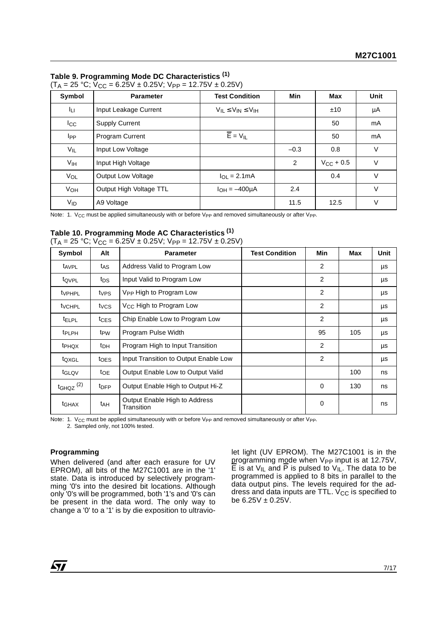## **Table 9. Programming Mode DC Characteristics (1)**

| Symbol          | <b>Parameter</b>          | <b>Test Condition</b>            | Min           | <b>Max</b>    | Unit   |
|-----------------|---------------------------|----------------------------------|---------------|---------------|--------|
| Īц.             | Input Leakage Current     | $V_{II} \leq V_{IN} \leq V_{IH}$ |               | ±10           | μA     |
| $_{\rm lcc}$    | <b>Supply Current</b>     |                                  |               | 50            | mA     |
| I <sub>PP</sub> | <b>Program Current</b>    | $\overline{E}$ = $V_{IL}$        |               | 50            | mA     |
| $V_{IL}$        | Input Low Voltage         |                                  | $-0.3$        | 0.8           | $\vee$ |
| V <sub>IH</sub> | Input High Voltage        |                                  | $\mathcal{P}$ | $V_{C}$ + 0.5 | $\vee$ |
| VOL             | <b>Output Low Voltage</b> | $I_{\Omega I} = 2.1 \text{mA}$   |               | 0.4           | $\vee$ |
| VOH             | Output High Voltage TTL   | $I_{OH} = -400 \mu A$            | 2.4           |               | $\vee$ |
| $V_{ID}$        | A9 Voltage                |                                  | 11.5          | 12.5          | $\vee$ |

(T<sub>A</sub> = 25 °C; V<sub>CC</sub> = 6.25V ± 0.25V; V<sub>PP</sub> = 12.75V ± 0.25V)

Note: 1. V<sub>CC</sub> must be applied simultaneously with or before V<sub>PP</sub> and removed simultaneously or after V<sub>PP</sub>.

# **Table 10. Programming Mode AC Characteristics (1)**

|  | $(T_A = 25 °C; V_{CC} = 6.25V \pm 0.25V; V_{PP} = 12.75V \pm 0.25V)$ |  |
|--|----------------------------------------------------------------------|--|
|--|----------------------------------------------------------------------|--|

| Symbol                    | Alt              | <b>Parameter</b>                            | <b>Test Condition</b> | Min | Max | Unit |
|---------------------------|------------------|---------------------------------------------|-----------------------|-----|-----|------|
| t <sub>AVPL</sub>         | t <sub>AS</sub>  | Address Valid to Program Low                |                       | 2   |     | μs   |
| tovpL                     | tps              | Input Valid to Program Low                  |                       | 2   |     | μs   |
| <b>t</b> <sub>VPHPL</sub> | t <sub>VPS</sub> | V <sub>PP</sub> High to Program Low         |                       | 2   |     | μs   |
| <b>t</b> <sub>VCHPL</sub> | tycs             | V <sub>CC</sub> High to Program Low         |                       | 2   |     | μs   |
| <b>TELPL</b>              | $t_{CES}$        | Chip Enable Low to Program Low              |                       | 2   |     | μs   |
| <b>t</b> PLPH             | t <sub>PW</sub>  | Program Pulse Width                         |                       | 95  | 105 | μs   |
| t <sub>PHQX</sub>         | t <sub>DH</sub>  | Program High to Input Transition            |                       | 2   |     | μs   |
| toxgL                     | t <sub>OES</sub> | Input Transition to Output Enable Low       |                       | 2   |     | μs   |
| t <sub>GLQV</sub>         | $t_{OE}$         | Output Enable Low to Output Valid           |                       |     | 100 | ns   |
| $t_{GHQZ}$ <sup>(2)</sup> | t <sub>DFP</sub> | Output Enable High to Output Hi-Z           |                       | 0   | 130 | ns   |
| t <sub>GHAX</sub>         | t <sub>AH</sub>  | Output Enable High to Address<br>Transition |                       | 0   |     | ns   |

Note: 1. V<sub>CC</sub> must be applied simultaneously with or before V<sub>PP</sub> and removed simultaneously or after V<sub>PP</sub>.

2. Sampled only, not 100% tested.

#### **Programming**

When delivered (and after each erasure for UV EPROM), all bits of the M27C1001 are in the '1' state. Data is introduced by selectively programming '0's into the desired bit locations. Although only '0's will be programmed, both '1's and '0's can be present in the data word. The only way to change a '0' to a '1' is by die exposition to ultraviolet light (UV EPROM). The M27C1001 is in the programming mode when V<sub>PP</sub> input is at 12.75V,  $\overline{E}$  is at V<sub>IL</sub> and  $\overline{P}$  is pulsed to V<sub>IL</sub>. The data to be programmed is applied to 8 bits in parallel to the data output pins. The levels required for the address and data inputs are TTL.  $V_{CC}$  is specified to be  $6.25V \pm 0.25V$ .

57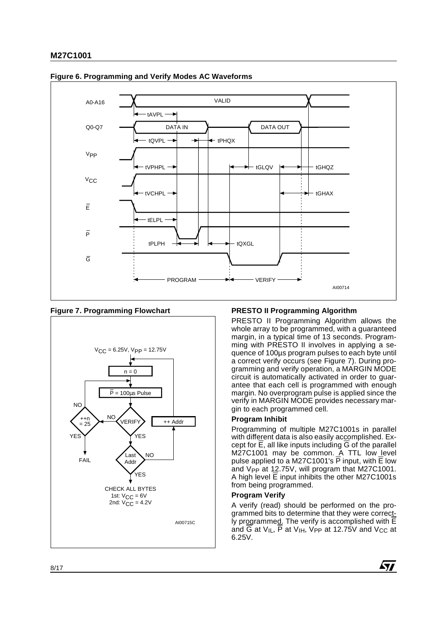

#### **Figure 6. Programming and Verify Modes AC Waveforms**

#### **Figure 7. Programming Flowchart**



# **PRESTO II Programming Algorithm**

PRESTO II Programming Algorithm allows the whole array to be programmed, with a guaranteed margin, in a typical time of 13 seconds. Programming with PRESTO II involves in applying a sequence of 100µs program pulses to each byte until a correct verify occurs (see Figure 7). During programming and verify operation, a MARGIN MODE circuit is automatically activated in order to guarantee that each cell is programmed with enough margin. No overprogram pulse is applied since the verify in MARGIN MODE provides necessary margin to each programmed cell.

#### **Program Inhibit**

Programming of multiple M27C1001s in parallel with different data is also easily accomplished. Except for E, all like inputs including G of the parallel M27C1001 may be common. A TTL low level pulse applied to a M27C1001's P input, with E low and V<sub>PP</sub> at 12.75V, will program that M27C1001. A high level  $\overline{E}$  input inhibits the other M27C1001s from being programmed.

#### **Program Verify**

A verify (read) should be performed on the programmed bits to determine that they were correct-Iy programmed. The verify is accomplished with  $\overline{E}$ and  $\overline{G}$  at V<sub>IL</sub>,  $\overline{P}$  at V<sub>IH</sub>, V<sub>PP</sub> at 12.75V and V<sub>CC</sub> at 6.25V.

**Ayy**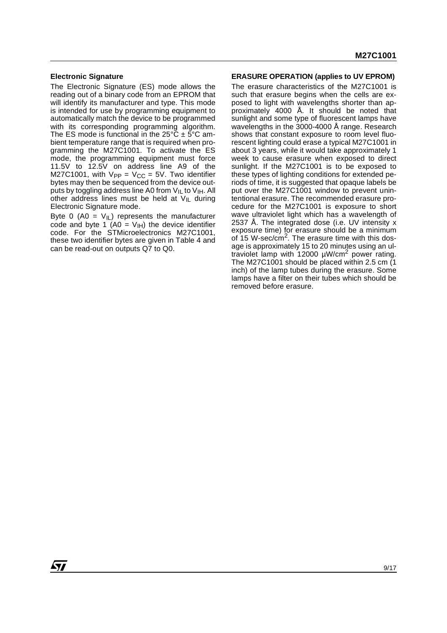#### **Electronic Signature**

The Electronic Signature (ES) mode allows the reading out of a binary code from an EPROM that will identify its manufacturer and type. This mode is intended for use by programming equipment to automatically match the device to be programmed with its corresponding programming algorithm. The ES mode is functional in the 25°C  $\pm$  5°C ambient temperature range that is required when programming the M27C1001. To activate the ES mode, the programming equipment must force 11.5V to 12.5V on address line A9 of the M27C1001, with  $V_{PP} = V_{CC} = 5V$ . Two identifier bytes may then be sequenced from the device outputs by toggling address line A0 from  $V_{IL}$  to  $V_{IH}$ . All other address lines must be held at  $V_{\parallel L}$  during Electronic Signature mode.

Byte 0 (A0 =  $V_{\text{IL}}$ ) represents the manufacturer code and byte 1 (A0 =  $V_{\text{IH}}$ ) the device identifier code. For the STMicroelectronics M27C1001, these two identifier bytes are given in Table 4 and can be read-out on outputs Q7 to Q0.

#### **ERASURE OPERATION (applies to UV EPROM)**

The erasure characteristics of the M27C1001 is such that erasure begins when the cells are exposed to light with wavelengths shorter than approximately 4000 Å. It should be noted that sunlight and some type of fluorescent lamps have wavelengths in the 3000-4000 Å range. Research shows that constant exposure to room level fluorescent lighting could erase a typical M27C1001 in about 3 years, while it would take approximately 1 week to cause erasure when exposed to direct sunlight. If the M27C1001 is to be exposed to these types of lighting conditions for extended periods of time, it is suggested that opaque labels be put over the M27C1001 window to prevent unintentional erasure. The recommended erasure procedure for the M27C1001 is exposure to short wave ultraviolet light which has a wavelength of 2537 Å. The integrated dose (i.e. UV intensity x exposure time) for erasure should be a minimum of 15 W-sec/cm<sup>2</sup>. The erasure time with this dosage is approximately 15 to 20 minutes using an ultraviolet lamp with 12000  $\mu$ W/cm<sup>2</sup> power rating. The M27C1001 should be placed within 2.5 cm (1 inch) of the lamp tubes during the erasure. Some lamps have a filter on their tubes which should be removed before erasure.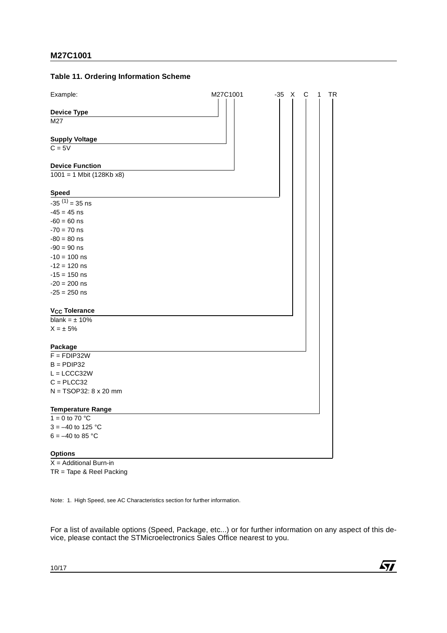# **Table 11. Ordering Information Scheme**

| Example:                        | M27C1001 | $-35$ X<br>C<br>TR<br>1 |
|---------------------------------|----------|-------------------------|
| <b>Device Type</b>              |          |                         |
| M27                             |          |                         |
| <b>Supply Voltage</b>           |          |                         |
| $C = 5V$                        |          |                         |
| <b>Device Function</b>          |          |                         |
| $1001 = 1$ Mbit (128Kb x8)      |          |                         |
| <b>Speed</b>                    |          |                         |
| $-35^{(1)} = 35$ ns             |          |                         |
| $-45 = 45$ ns                   |          |                         |
| $-60 = 60$ ns                   |          |                         |
| $-70 = 70$ ns                   |          |                         |
| $-80 = 80$ ns                   |          |                         |
| $-90 = 90$ ns                   |          |                         |
| $-10 = 100$ ns                  |          |                         |
| $-12 = 120$ ns                  |          |                         |
| $-15 = 150$ ns                  |          |                         |
| $-20 = 200$ ns                  |          |                         |
| $-25 = 250$ ns                  |          |                         |
| <b>V<sub>CC</sub></b> Tolerance |          |                         |
| blank = $\pm$ 10%               |          |                         |
| $X = \pm 5\%$                   |          |                         |
| Package                         |          |                         |
| $F = FDIP32W$                   |          |                         |
| $B =$ PDIP32                    |          |                         |
| $L = LCCC32W$                   |          |                         |
| $C = PLCC32$                    |          |                         |
| $N = TSOP32: 8 \times 20$ mm    |          |                         |
| <b>Temperature Range</b>        |          |                         |
| 1 = 0 to 70 $^{\circ}$ C        |          |                         |
| $3 = -40$ to 125 °C             |          |                         |
| $6 = -40$ to 85 °C              |          |                         |
| <b>Options</b>                  |          |                         |
| $-1.5$<br>.<br>$A = 1 + 12 + 2$ |          |                         |

 $X =$  Additional Burn-in TR = Tape & Reel Packing

Note: 1. High Speed, see AC Characteristics section for further information.

For a list of available options (Speed, Package, etc...) or for further information on any aspect of this device, please contact the STMicroelectronics Sales Office nearest to you.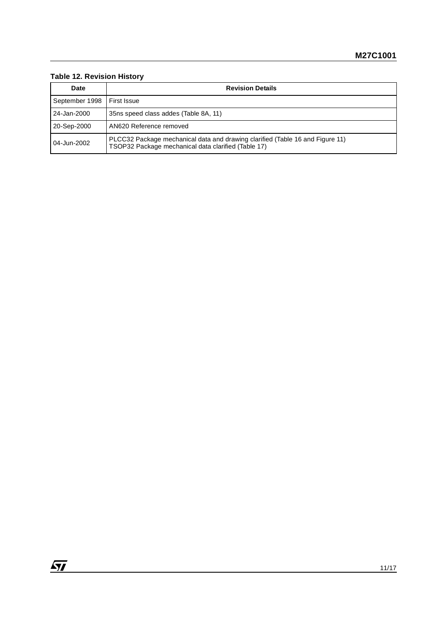# **Table 12. Revision History**

| Date           | <b>Revision Details</b>                                                                                                              |
|----------------|--------------------------------------------------------------------------------------------------------------------------------------|
| September 1998 | <b>First Issue</b>                                                                                                                   |
| 24-Jan-2000    | 35 ns speed class addes (Table 8A, 11)                                                                                               |
| 20-Sep-2000    | AN620 Reference removed                                                                                                              |
| 04-Jun-2002    | PLCC32 Package mechanical data and drawing clarified (Table 16 and Figure 11)<br>TSOP32 Package mechanical data clarified (Table 17) |

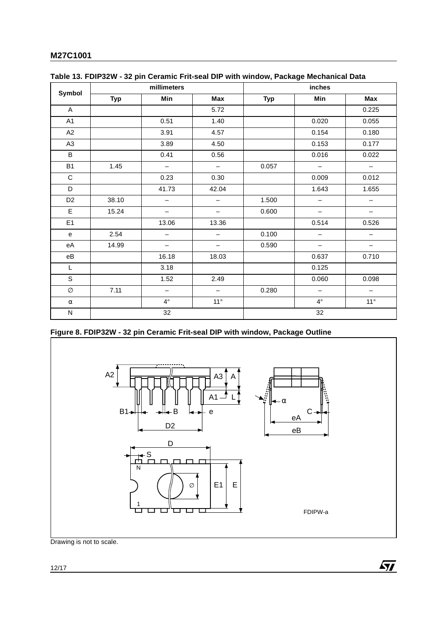|                | millimeters |                          |                          | inches     |                   |                          |  |
|----------------|-------------|--------------------------|--------------------------|------------|-------------------|--------------------------|--|
| Symbol         | <b>Typ</b>  | Min                      | Max                      | <b>Typ</b> | Min               | Max                      |  |
| $\mathsf{A}$   |             |                          | 5.72                     |            |                   | 0.225                    |  |
| A1             |             | 0.51                     | 1.40                     |            | 0.020             | 0.055                    |  |
| A2             |             | 3.91                     | 4.57                     |            | 0.154             | 0.180                    |  |
| A <sub>3</sub> |             | 3.89                     | 4.50                     |            | 0.153             | 0.177                    |  |
| B              |             | 0.41                     | 0.56                     |            | 0.016             | 0.022                    |  |
| <b>B1</b>      | 1.45        | $\qquad \qquad -$        | $\overline{\phantom{0}}$ | 0.057      | $\qquad \qquad -$ | $\qquad \qquad -$        |  |
| $\mathbf C$    |             | 0.23                     | 0.30                     |            | 0.009             | 0.012                    |  |
| D              |             | 41.73                    | 42.04                    |            | 1.643             | 1.655                    |  |
| D <sub>2</sub> | 38.10       | —                        | $\qquad \qquad -$        | 1.500      |                   |                          |  |
| E              | 15.24       | $\qquad \qquad -$        | $\qquad \qquad -$        | 0.600      | —                 | —                        |  |
| E <sub>1</sub> |             | 13.06                    | 13.36                    |            | 0.514             | 0.526                    |  |
| e              | 2.54        | $\overline{\phantom{0}}$ | $\overline{\phantom{m}}$ | 0.100      | $\qquad \qquad -$ | $\overline{\phantom{m}}$ |  |
| eA             | 14.99       | $\overline{\phantom{0}}$ | $\overline{\phantom{0}}$ | 0.590      | $\qquad \qquad -$ | $\qquad \qquad -$        |  |
| eB             |             | 16.18                    | 18.03                    |            | 0.637             | 0.710                    |  |
| L              |             | 3.18                     |                          |            | 0.125             |                          |  |
| S              |             | 1.52                     | 2.49                     |            | 0.060             | 0.098                    |  |
| Ø              | 7.11        | $\qquad \qquad -$        | $\overline{\phantom{m}}$ | 0.280      | $\qquad \qquad -$ | $\overline{\phantom{a}}$ |  |
| $\alpha$       |             | $4^{\circ}$              | $11^{\circ}$             |            | $4^{\circ}$       | $11^{\circ}$             |  |
| ${\sf N}$      |             | 32                       |                          | 32         |                   |                          |  |

**Figure 8. FDIP32W - 32 pin Ceramic Frit-seal DIP with window, Package Outline**



 $\sqrt{M}$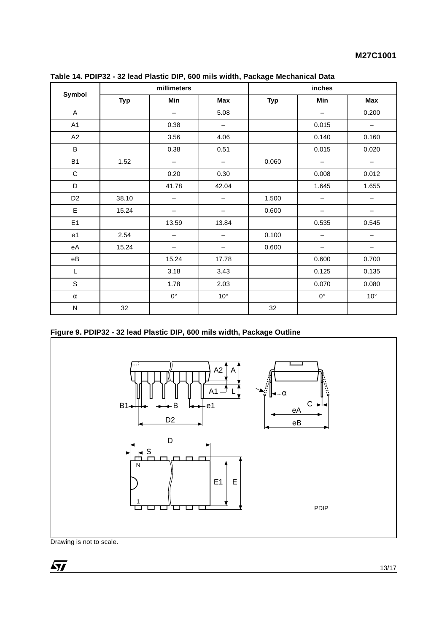| millimeters            |            |                          | inches                   |            |                          |                          |
|------------------------|------------|--------------------------|--------------------------|------------|--------------------------|--------------------------|
| Symbol                 | <b>Typ</b> | Min                      | Max                      | <b>Typ</b> | Min                      | Max                      |
| A                      |            | $\qquad \qquad -$        | 5.08                     |            | $\overline{\phantom{m}}$ | 0.200                    |
| A1                     |            | 0.38                     | $\qquad \qquad -$        |            | 0.015                    | $\qquad \qquad -$        |
| A2                     |            | 3.56                     | 4.06                     |            | 0.140                    | 0.160                    |
| B                      |            | 0.38                     | 0.51                     |            | 0.015                    | 0.020                    |
| <b>B1</b>              | 1.52       | $\overline{\phantom{0}}$ | $\overline{\phantom{m}}$ | 0.060      | $\overline{\phantom{m}}$ | $\overline{\phantom{m}}$ |
| $\mathbf C$            |            | 0.20                     | 0.30                     |            | 0.008                    | 0.012                    |
| D                      |            | 41.78                    | 42.04                    |            | 1.645                    | 1.655                    |
| D <sub>2</sub>         | 38.10      | -                        | —                        | 1.500      | $\qquad \qquad -$        | —                        |
| E                      | 15.24      |                          | —                        | 0.600      | $\qquad \qquad -$        | —                        |
| E1                     |            | 13.59                    | 13.84                    |            | 0.535                    | 0.545                    |
| e <sub>1</sub>         | 2.54       |                          | —                        | 0.100      |                          |                          |
| еA                     | 15.24      |                          |                          | 0.600      |                          |                          |
| $\mathsf{e}\mathsf{B}$ |            | 15.24                    | 17.78                    |            | 0.600                    | 0.700                    |
| Г                      |            | 3.18                     | 3.43                     |            | 0.125                    | 0.135                    |
| S                      |            | 1.78                     | 2.03                     |            | 0.070                    | 0.080                    |
| $\alpha$               |            | $0^{\circ}$              | $10^{\circ}$             |            | $0^{\circ}$              | $10^{\circ}$             |
| ${\sf N}$              | 32         |                          |                          | 32         |                          |                          |

|  | Table 14. PDIP32 - 32 lead Plastic DIP, 600 mils width, Package Mechanical Data |  |  |  |
|--|---------------------------------------------------------------------------------|--|--|--|
|  |                                                                                 |  |  |  |

**Figure 9. PDIP32 - 32 lead Plastic DIP, 600 mils width, Package Outline**

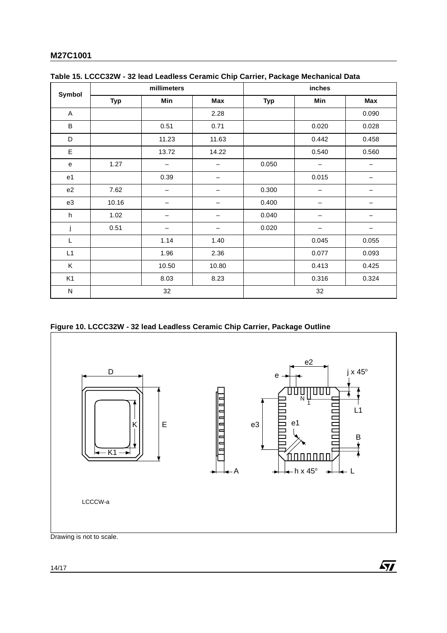|                           |            | millimeters |       |            | inches            |                   |  |
|---------------------------|------------|-------------|-------|------------|-------------------|-------------------|--|
| Symbol                    | <b>Typ</b> | Min         | Max   | <b>Typ</b> | Min               | Max               |  |
| A                         |            |             | 2.28  |            |                   | 0.090             |  |
| B                         |            | 0.51        | 0.71  |            | 0.020             | 0.028             |  |
| D                         |            | 11.23       | 11.63 |            | 0.442             | 0.458             |  |
| E                         |            | 13.72       | 14.22 |            | 0.540             | 0.560             |  |
| e                         | 1.27       | -           | —     | 0.050      | $\qquad \qquad -$ | $\qquad \qquad -$ |  |
| e1                        |            | 0.39        |       |            | 0.015             |                   |  |
| e2                        | 7.62       |             |       | 0.300      |                   |                   |  |
| e3                        | 10.16      |             |       | 0.400      |                   |                   |  |
| $\boldsymbol{\mathsf{h}}$ | 1.02       |             |       | 0.040      | -                 |                   |  |
| j                         | 0.51       |             | —     | 0.020      |                   |                   |  |
| L                         |            | 1.14        | 1.40  |            | 0.045             | 0.055             |  |
| L1                        |            | 1.96        | 2.36  |            | 0.077             | 0.093             |  |
| Κ                         |            | 10.50       | 10.80 |            | 0.413             | 0.425             |  |
| K <sub>1</sub>            |            | 8.03        | 8.23  |            | 0.316             | 0.324             |  |
| N                         |            | 32          |       | 32         |                   |                   |  |

| Table 15. LCCC32W - 32 lead Leadless Ceramic Chip Carrier, Package Mechanical Data |  |  |
|------------------------------------------------------------------------------------|--|--|
|                                                                                    |  |  |

# **Figure 10. LCCC32W - 32 lead Leadless Ceramic Chip Carrier, Package Outline**



 $\sqrt{1}$ 

Drawing is not to scale.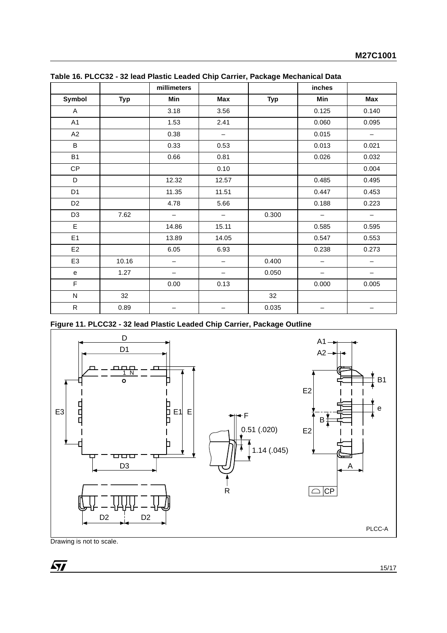|                |            | millimeters       |       |            | inches                   |       |
|----------------|------------|-------------------|-------|------------|--------------------------|-------|
| Symbol         | <b>Typ</b> | Min               | Max   | <b>Typ</b> | Min                      | Max   |
| Α              |            | 3.18              | 3.56  |            | 0.125                    | 0.140 |
| A1             |            | 1.53              | 2.41  |            | 0.060                    | 0.095 |
| A2             |            | 0.38              | —     |            | 0.015                    | —     |
| B              |            | 0.33              | 0.53  |            | 0.013                    | 0.021 |
| <b>B1</b>      |            | 0.66              | 0.81  |            | 0.026                    | 0.032 |
| CP             |            |                   | 0.10  |            |                          | 0.004 |
| D              |            | 12.32             | 12.57 |            | 0.485                    | 0.495 |
| D <sub>1</sub> |            | 11.35             | 11.51 |            | 0.447                    | 0.453 |
| D <sub>2</sub> |            | 4.78              | 5.66  |            | 0.188                    | 0.223 |
| D <sub>3</sub> | 7.62       | $\qquad \qquad -$ | —     | 0.300      | $\qquad \qquad -$        | -     |
| E              |            | 14.86             | 15.11 |            | 0.585                    | 0.595 |
| E1             |            | 13.89             | 14.05 |            | 0.547                    | 0.553 |
| E <sub>2</sub> |            | 6.05              | 6.93  |            | 0.238                    | 0.273 |
| E <sub>3</sub> | 10.16      | $\qquad \qquad -$ | —     | 0.400      | $\qquad \qquad -$        | -     |
| e              | 1.27       | $\qquad \qquad -$ | -     | 0.050      | $\overline{\phantom{m}}$ | -     |
| F              |            | 0.00              | 0.13  |            | 0.000                    | 0.005 |
| ${\sf N}$      | 32         |                   |       | 32         |                          |       |
| ${\sf R}$      | 0.89       |                   |       | 0.035      | —                        | —     |

**Table 16. PLCC32 - 32 lead Plastic Leaded Chip Carrier, Package Mechanical Data**

**Figure 11. PLCC32 - 32 lead Plastic Leaded Chip Carrier, Package Outline**

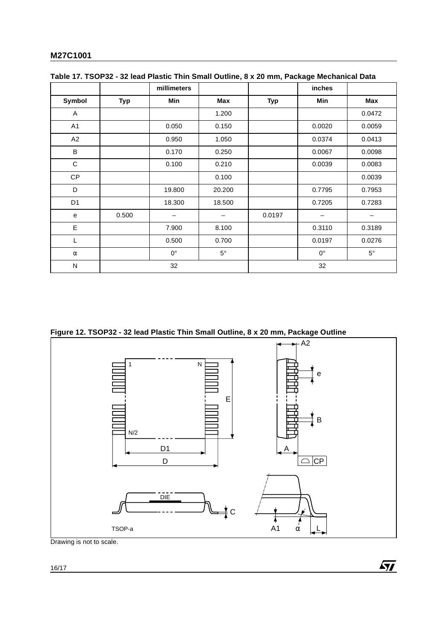|                |            | millimeters     |           |            | inches      |             |
|----------------|------------|-----------------|-----------|------------|-------------|-------------|
| Symbol         | <b>Typ</b> | Min             | Max       | <b>Typ</b> | Min         | Max         |
| Α              |            |                 | 1.200     |            |             | 0.0472      |
| A1             |            | 0.050           | 0.150     |            | 0.0020      | 0.0059      |
| A2             |            | 0.950           | 1.050     |            | 0.0374      | 0.0413      |
| B              |            | 0.170           | 0.250     |            | 0.0067      | 0.0098      |
| С              |            | 0.100           | 0.210     |            | 0.0039      | 0.0083      |
| <b>CP</b>      |            |                 | 0.100     |            |             | 0.0039      |
| D              |            | 19.800          | 20.200    |            | 0.7795      | 0.7953      |
| D <sub>1</sub> |            | 18.300          | 18.500    |            | 0.7205      | 0.7283      |
| e              | 0.500      | $\qquad \qquad$ | —         | 0.0197     |             | —           |
| E              |            | 7.900           | 8.100     |            | 0.3110      | 0.3189      |
| L              |            | 0.500           | 0.700     |            | 0.0197      | 0.0276      |
| $\alpha$       |            | $0^{\circ}$     | $5^\circ$ |            | $0^{\circ}$ | $5^{\circ}$ |
| N              |            | 32              |           |            | 32          |             |

|  |  |  |  |  | Table 17. TSOP32 - 32 lead Plastic Thin Small Outline, 8 x 20 mm, Package Mechanical Data |
|--|--|--|--|--|-------------------------------------------------------------------------------------------|
|--|--|--|--|--|-------------------------------------------------------------------------------------------|

**Figure 12. TSOP32 - 32 lead Plastic Thin Small Outline, 8 x 20 mm, Package Outline**



 $\sqrt{M}$